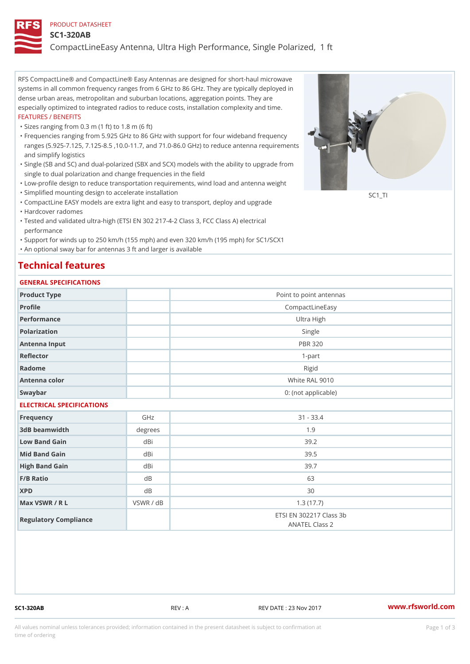#### PRODUCT DATASHEET

#### SC1-320AB

CompactLineEasy Antenna, Ultra High Performance, Single Polarized,

RFS CompactLine® and CompactLine® Easy Antennas are designed for short-haul microwave systems in all common frequency ranges from 6 GHz to 86 GHz. They are typically deployed in dense urban areas, metropolitan and suburban locations, aggregation points. They are especially optimized to integrated radios to reduce costs, installation complexity and time. FEATURES / BENEFITS

"Sizes ranging from 0.3 m (1 ft) to 1.8 m (6 ft)

- Frequencies ranging from 5.925 GHz to 86 GHz with support for four wideband frequency " ranges (5.925-7.125, 7.125-8.5 ,10.0-11.7, and 71.0-86.0 GHz) to reduce antenna requirements and simplify logistics
- Single (SB and SC) and dual-polarized (SBX and SCX) models with the ability to upgrade from " single to dual polarization and change frequencies in the field
- "Low-profile design to reduce transportation requirements, wind load and antenna weight
- "Simplified mounting design to accelerate installation

 "CompactLine EASY models are extra light and easy to transport, deploy and upgrade "Hardcover radomes

Tested and validated ultra-high (ETSI EN 302 217-4-2 Class 3, FCC Class A) electrical " performance

 "Support for winds up to 250 km/h (155 mph) and even 320 km/h (195 mph) for SC1/SCX1 "An optional sway bar for antennas 3 ft and larger is available

## Technical features

#### GENERAL SPECIFICATIONS

| GENERAL SELGIFICATIONS    |           |                                                  |
|---------------------------|-----------|--------------------------------------------------|
| Product Type              |           | Point to point antennas                          |
| Profile                   |           | CompactLineEasy                                  |
| Performance               |           | Ultra High                                       |
| Polarization              |           | Single                                           |
| Antenna Input             |           | <b>PBR 320</b>                                   |
| Reflector                 |           | $1 - p$ art                                      |
| Radome                    |           | Rigid                                            |
| Antenna color             |           | White RAL 9010                                   |
| Swaybar                   |           | 0: (not applicable)                              |
| ELECTRICAL SPECIFICATIONS |           |                                                  |
| Frequency                 | GHz       | $31 - 33.4$                                      |
| 3dB beamwidth             | degrees   | 1.9                                              |
| Low Band Gain             | dBi       | 39.2                                             |
| Mid Band Gain             | dBi       | 39.5                                             |
| High Band Gain            | dBi       | 39.7                                             |
| F/B Ratio                 | d B       | 63                                               |
| <b>XPD</b>                | d B       | 30                                               |
| Max VSWR / R L            | VSWR / dB | 1.3(17.7)                                        |
| Regulatory Compliance     |           | ETSI EN 302217 Class 3b<br><b>ANATEL Class 2</b> |

SC1-320AB REV : A REV DATE : 23 Nov 2017 [www.](https://www.rfsworld.com)rfsworld.com

SC<sub>1</sub>TI

All values nominal unless tolerances provided; information contained in the present datasheet is subject to Pcapgeign mation time of ordering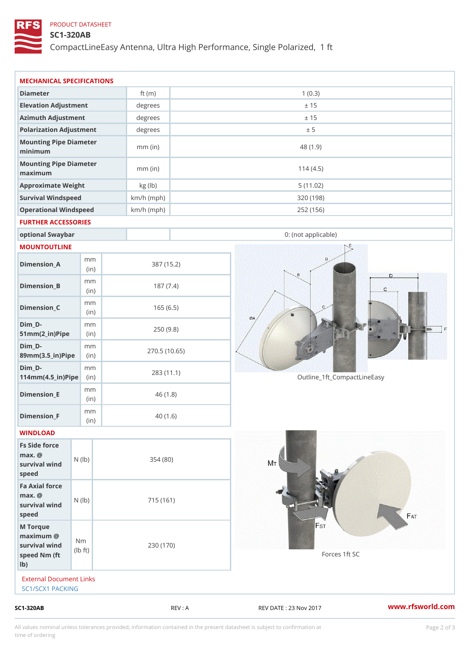## PRODUCT DATASHEET

# SC1-320AB

CompactLineEasy Antenna, Ultra High Performance, Single Polarized,

| External Document Links<br>SC1/SCX1 PACKING                           |                                   |                            |            |                             |  |
|-----------------------------------------------------------------------|-----------------------------------|----------------------------|------------|-----------------------------|--|
|                                                                       |                                   |                            |            |                             |  |
| M Torque<br>$maximum$ @<br>survival wind<br>speed Nm (ft<br>$1b$ )    | N <sub>m</sub><br>$\pm$ t)<br>l b | 230 (170)                  |            | Forces 1ft SC               |  |
| Fa Axial force<br>$max.$ @<br>survival $w \nvert N$ ( $ b$ )<br>speed |                                   | 715 (161)                  |            |                             |  |
| Fs Side force<br>$max.$ @<br>survival wind (1b)<br>speed              |                                   | 354(80)                    |            |                             |  |
| WINDLOAD                                                              |                                   |                            |            |                             |  |
| Dimension_F                                                           | m m<br>(in)                       |                            | 40(1.6)    |                             |  |
| $Dimension$ = E                                                       | m m<br>(i n)                      |                            | 46(1.8)    |                             |  |
| $Dim_D -$<br>$114$ m m (4.5 _ ir ) $\sqrt{$ ii p $\sqrt{ }$           | m m                               | 270.5(10.65)<br>283 (11.1) |            | Outline_1ft_CompactLineEasy |  |
| $Dim_D - D -$<br>89mm (3.5_in) Pi(pine)                               | m m                               |                            |            |                             |  |
| $Dim_D - D -$<br>$51mm(2_in)Pip@in$                                   | m m                               |                            | 250(9.8)   |                             |  |
| $Dimension_C$                                                         | m m<br>(in)                       |                            | 165(6.5)   |                             |  |
| $Dimension_B$                                                         | m m<br>(in)                       |                            | 187(7.4)   |                             |  |
| $Dimension_A$                                                         | m m<br>(in)                       |                            | 387 (15.2) |                             |  |
| MOUNTOUTLINE                                                          |                                   |                            |            |                             |  |
| optional Swaybar                                                      |                                   |                            |            | 0: (not applicable)         |  |
| FURTHER ACCESSORIES                                                   |                                   |                            |            |                             |  |
| Operational Windspeed                                                 |                                   | $km/h$ (mph)               |            | 252 (156)                   |  |
| Survival Windspeed                                                    |                                   | $km/h$ (mph)               |            | 320 (198)                   |  |
| maximum<br>Approximate Weight                                         |                                   | $mm$ (in)<br>kg (lb)       |            | 114(4.5)<br>5(11.02)        |  |
| minimum<br>Mounting Pipe Diameter                                     |                                   |                            |            |                             |  |
| Mounting Pipe Diameter                                                |                                   | $mm$ (in)                  |            | 48 (1.9)                    |  |
| Polarization Adjustment                                               |                                   | degrees                    |            | ± 5                         |  |
| Azimuth Adjustment                                                    |                                   | degrees                    |            | ± 15                        |  |
| Elevation Adjustment                                                  |                                   | degrees                    |            | ± 15                        |  |
| MECHANICAL SPECIFICATIONS<br>Diameter                                 |                                   | ft $(m)$                   |            | 1(0.3)                      |  |

All values nominal unless tolerances provided; information contained in the present datasheet is subject to Pcapgelio an atio time of ordering